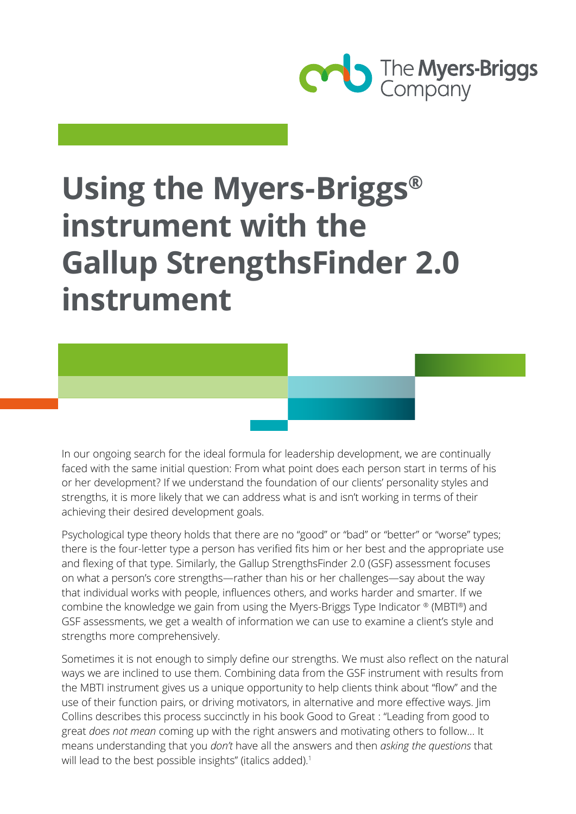

# **Using the Myers-Briggs® instrument with the Gallup StrengthsFinder 2.0 instrument**

In our ongoing search for the ideal formula for leadership development, we are continually faced with the same initial question: From what point does each person start in terms of his or her development? If we understand the foundation of our clients' personality styles and strengths, it is more likely that we can address what is and isn't working in terms of their achieving their desired development goals.

Psychological type theory holds that there are no "good" or "bad" or "better" or "worse" types; there is the four-letter type a person has verified fits him or her best and the appropriate use and flexing of that type. Similarly, the Gallup StrengthsFinder 2.0 (GSF) assessment focuses on what a person's core strengths—rather than his or her challenges—say about the way that individual works with people, influences others, and works harder and smarter. If we combine the knowledge we gain from using the Myers-Briggs Type Indicator ® (MBTI®) and GSF assessments, we get a wealth of information we can use to examine a client's style and strengths more comprehensively.

Sometimes it is not enough to simply define our strengths. We must also reflect on the natural ways we are inclined to use them. Combining data from the GSF instrument with results from the MBTI instrument gives us a unique opportunity to help clients think about "flow" and the use of their function pairs, or driving motivators, in alternative and more effective ways. Jim Collins describes this process succinctly in his book Good to Great : "Leading from good to great *does not mean* coming up with the right answers and motivating others to follow… It means understanding that you *don't* have all the answers and then *asking the questions* that will lead to the best possible insights" (italics added).<sup>1</sup>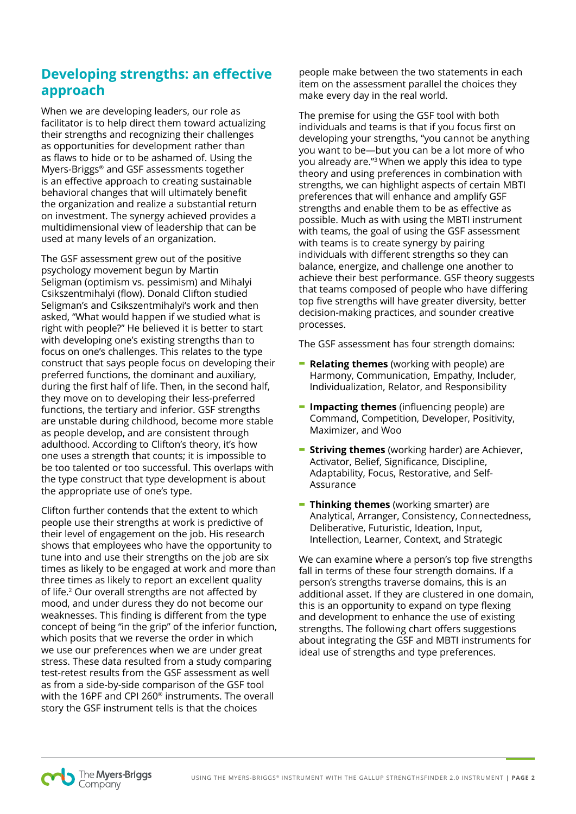## **Developing strengths: an effective approach**

When we are developing leaders, our role as facilitator is to help direct them toward actualizing their strengths and recognizing their challenges as opportunities for development rather than as flaws to hide or to be ashamed of. Using the Myers-Briggs® and GSF assessments together is an effective approach to creating sustainable behavioral changes that will ultimately benefit the organization and realize a substantial return on investment. The synergy achieved provides a multidimensional view of leadership that can be used at many levels of an organization.

The GSF assessment grew out of the positive psychology movement begun by Martin Seligman (optimism vs. pessimism) and Mihalyi Csikszentmihalyi (flow). Donald Clifton studied Seligman's and Csikszentmihalyi's work and then asked, "What would happen if we studied what is right with people?" He believed it is better to start with developing one's existing strengths than to focus on one's challenges. This relates to the type construct that says people focus on developing their preferred functions, the dominant and auxiliary, during the first half of life. Then, in the second half, they move on to developing their less-preferred functions, the tertiary and inferior. GSF strengths are unstable during childhood, become more stable as people develop, and are consistent through adulthood. According to Clifton's theory, it's how one uses a strength that counts; it is impossible to be too talented or too successful. This overlaps with the type construct that type development is about the appropriate use of one's type.

Clifton further contends that the extent to which people use their strengths at work is predictive of their level of engagement on the job. His research shows that employees who have the opportunity to tune into and use their strengths on the job are six times as likely to be engaged at work and more than three times as likely to report an excellent quality of life.<sup>2</sup> Our overall strengths are not affected by mood, and under duress they do not become our weaknesses. This finding is different from the type concept of being "in the grip" of the inferior function, which posits that we reverse the order in which we use our preferences when we are under great stress. These data resulted from a study comparing test-retest results from the GSF assessment as well as from a side-by-side comparison of the GSF tool with the 16PF and CPI 260® instruments. The overall story the GSF instrument tells is that the choices

people make between the two statements in each item on the assessment parallel the choices they make every day in the real world.

The premise for using the GSF tool with both individuals and teams is that if you focus first on developing your strengths, "you cannot be anything you want to be—but you can be a lot more of who you already are."3 When we apply this idea to type theory and using preferences in combination with strengths, we can highlight aspects of certain MBTI preferences that will enhance and amplify GSF strengths and enable them to be as effective as possible. Much as with using the MBTI instrument with teams, the goal of using the GSF assessment with teams is to create synergy by pairing individuals with different strengths so they can balance, energize, and challenge one another to achieve their best performance. GSF theory suggests that teams composed of people who have differing top five strengths will have greater diversity, better decision-making practices, and sounder creative processes.

The GSF assessment has four strength domains:

- **- Relating themes** (working with people) are Harmony, Communication, Empathy, Includer, Individualization, Relator, and Responsibility
- **- Impacting themes** (influencing people) are Command, Competition, Developer, Positivity, Maximizer, and Woo
- **- Striving themes** (working harder) are Achiever, Activator, Belief, Significance, Discipline, Adaptability, Focus, Restorative, and Self-Assurance
- **- Thinking themes** (working smarter) are Analytical, Arranger, Consistency, Connectedness, Deliberative, Futuristic, Ideation, Input, Intellection, Learner, Context, and Strategic

We can examine where a person's top five strengths fall in terms of these four strength domains. If a person's strengths traverse domains, this is an additional asset. If they are clustered in one domain, this is an opportunity to expand on type flexing and development to enhance the use of existing strengths. The following chart offers suggestions about integrating the GSF and MBTI instruments for ideal use of strengths and type preferences.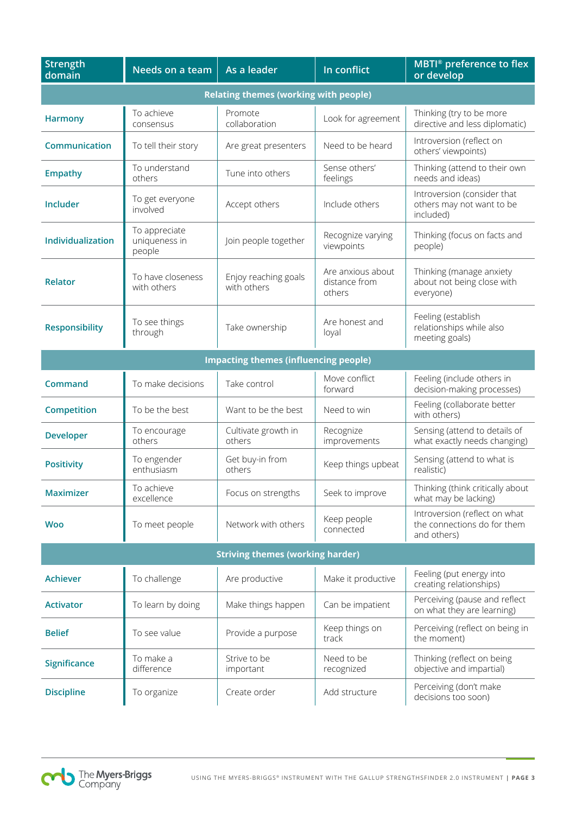| <b>Strength</b><br>domain                    | Needs on a team                          | As a leader                         | In conflict                                  | MBTI <sup>®</sup> preference to flex<br>or develop                          |  |  |
|----------------------------------------------|------------------------------------------|-------------------------------------|----------------------------------------------|-----------------------------------------------------------------------------|--|--|
| <b>Relating themes (working with people)</b> |                                          |                                     |                                              |                                                                             |  |  |
| <b>Harmony</b>                               | To achieve<br>consensus                  | Promote<br>collaboration            | Look for agreement                           | Thinking (try to be more<br>directive and less diplomatic)                  |  |  |
| Communication                                | To tell their story                      | Are great presenters                | Need to be heard                             | Introversion (reflect on<br>others' viewpoints)                             |  |  |
| <b>Empathy</b>                               | To understand<br>others                  | Tune into others                    | Sense others'<br>feelings                    | Thinking (attend to their own<br>needs and ideas)                           |  |  |
| Includer                                     | To get everyone<br>involved              | Accept others                       | Include others                               | Introversion (consider that<br>others may not want to be<br>included)       |  |  |
| Individualization                            | To appreciate<br>uniqueness in<br>people | Join people together                | Recognize varying<br>viewpoints              | Thinking (focus on facts and<br>people)                                     |  |  |
| <b>Relator</b>                               | To have closeness<br>with others         | Enjoy reaching goals<br>with others | Are anxious about<br>distance from<br>others | Thinking (manage anxiety<br>about not being close with<br>everyone)         |  |  |
| <b>Responsibility</b>                        | To see things<br>through                 | Take ownership                      | Are honest and<br>loyal                      | Feeling (establish<br>relationships while also<br>meeting goals)            |  |  |
| <b>Impacting themes (influencing people)</b> |                                          |                                     |                                              |                                                                             |  |  |
| Command                                      | To make decisions                        | Take control                        | Move conflict<br>forward                     | Feeling (include others in<br>decision-making processes)                    |  |  |
| Competition                                  | To be the best                           | Want to be the best                 | Need to win                                  | Feeling (collaborate better<br>with others)                                 |  |  |
| <b>Developer</b>                             | To encourage<br>others                   | Cultivate growth in<br>others       | Recognize<br>improvements                    | Sensing (attend to details of<br>what exactly needs changing)               |  |  |
| <b>Positivity</b>                            | To engender<br>enthusiasm                | Get buy-in from<br>others           | Keep things upbeat                           | Sensing (attend to what is<br>realistic)                                    |  |  |
| <b>Maximizer</b>                             | To achieve<br>excellence                 | Focus on strengths                  | Seek to improve                              | Thinking (think critically about<br>what may be lacking)                    |  |  |
| <b>Woo</b>                                   | To meet people                           | Network with others                 | Keep people<br>connected                     | Introversion (reflect on what<br>the connections do for them<br>and others) |  |  |
| <b>Striving themes (working harder)</b>      |                                          |                                     |                                              |                                                                             |  |  |
| <b>Achiever</b>                              | To challenge                             | Are productive                      | Make it productive                           | Feeling (put energy into<br>creating relationships)                         |  |  |
| <b>Activator</b>                             | To learn by doing                        | Make things happen                  | Can be impatient                             | Perceiving (pause and reflect<br>on what they are learning)                 |  |  |
| <b>Belief</b>                                | To see value                             | Provide a purpose                   | Keep things on<br>track                      | Perceiving (reflect on being in<br>the moment)                              |  |  |
| <b>Significance</b>                          | To make a<br>difference                  | Strive to be<br>important           | Need to be<br>recognized                     | Thinking (reflect on being<br>objective and impartial)                      |  |  |
| <b>Discipline</b>                            | To organize                              | Create order                        | Add structure                                | Perceiving (don't make<br>decisions too soon)                               |  |  |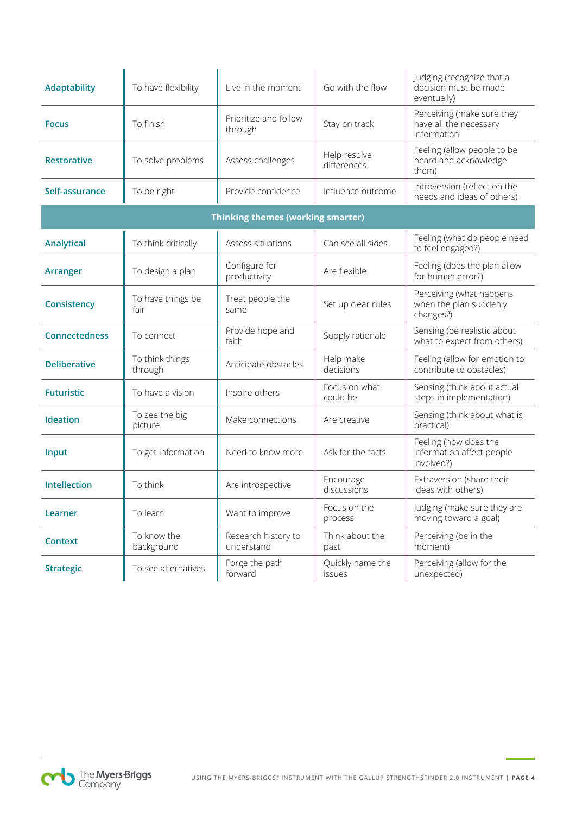| <b>Adaptability</b>                      | To have flexibility        | Live in the moment                | Go with the flow                  | Judging (recognize that a<br>decision must be made<br>eventually)   |  |  |  |
|------------------------------------------|----------------------------|-----------------------------------|-----------------------------------|---------------------------------------------------------------------|--|--|--|
| <b>Focus</b>                             | To finish                  | Prioritize and follow<br>through  | Stay on track                     | Perceiving (make sure they<br>have all the necessary<br>information |  |  |  |
| <b>Restorative</b>                       | To solve problems          | Assess challenges                 | Help resolve<br>differences       | Feeling (allow people to be<br>heard and acknowledge<br>them)       |  |  |  |
| Self-assurance                           | To be right                | Provide confidence                | Influence outcome                 | Introversion (reflect on the<br>needs and ideas of others)          |  |  |  |
| <b>Thinking themes (working smarter)</b> |                            |                                   |                                   |                                                                     |  |  |  |
| Analytical                               | To think critically        | Assess situations                 | Can see all sides                 | Feeling (what do people need<br>to feel engaged?)                   |  |  |  |
| Arranger                                 | To design a plan           | Configure for<br>productivity     | Are flexible                      | Feeling (does the plan allow<br>for human error?)                   |  |  |  |
| Consistency                              | To have things be<br>fair  | Treat people the<br>same          | Set up clear rules                | Perceiving (what happens<br>when the plan suddenly<br>changes?)     |  |  |  |
| <b>Connectedness</b>                     | To connect                 | Provide hope and<br>faith         | Supply rationale                  | Sensing (be realistic about<br>what to expect from others)          |  |  |  |
| <b>Deliberative</b>                      | To think things<br>through | Anticipate obstacles              | Help make<br>decisions            | Feeling (allow for emotion to<br>contribute to obstacles)           |  |  |  |
| <b>Futuristic</b>                        | To have a vision           | Inspire others                    | Focus on what<br>could be         | Sensing (think about actual<br>steps in implementation)             |  |  |  |
| <b>Ideation</b>                          | To see the big<br>picture  | Make connections                  | Are creative                      | Sensing (think about what is<br>practical)                          |  |  |  |
| Input                                    | To get information         | Need to know more                 | Ask for the facts                 | Feeling (how does the<br>information affect people<br>involved?)    |  |  |  |
| <b>Intellection</b>                      | To think                   | Are introspective                 | Encourage<br>discussions          | Extraversion (share their<br>ideas with others)                     |  |  |  |
| Learner                                  | To learn                   | Want to improve                   | Focus on the<br>process           | Judging (make sure they are<br>moving toward a goal)                |  |  |  |
| <b>Context</b>                           | To know the<br>background  | Research history to<br>understand | Think about the<br>past           | Perceiving (be in the<br>moment)                                    |  |  |  |
| <b>Strategic</b>                         | To see alternatives        | Forge the path<br>forward         | Quickly name the<br><b>issues</b> | Perceiving (allow for the<br>unexpected)                            |  |  |  |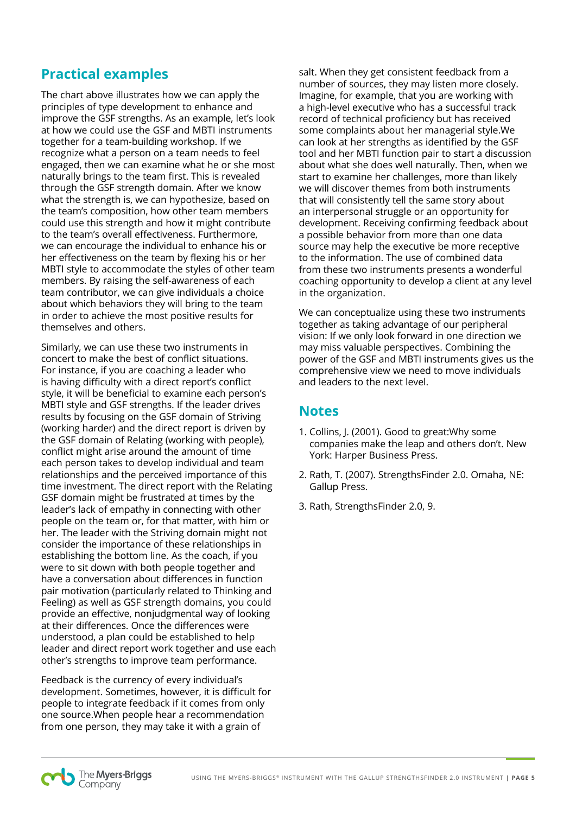#### **Practical examples**

The chart above illustrates how we can apply the principles of type development to enhance and improve the GSF strengths. As an example, let's look at how we could use the GSF and MBTI instruments together for a team-building workshop. If we recognize what a person on a team needs to feel engaged, then we can examine what he or she most naturally brings to the team first. This is revealed through the GSF strength domain. After we know what the strength is, we can hypothesize, based on the team's composition, how other team members could use this strength and how it might contribute to the team's overall effectiveness. Furthermore, we can encourage the individual to enhance his or her effectiveness on the team by flexing his or her MBTI style to accommodate the styles of other team members. By raising the self-awareness of each team contributor, we can give individuals a choice about which behaviors they will bring to the team in order to achieve the most positive results for themselves and others.

Similarly, we can use these two instruments in concert to make the best of conflict situations. For instance, if you are coaching a leader who is having difficulty with a direct report's conflict style, it will be beneficial to examine each person's MBTI style and GSF strengths. If the leader drives results by focusing on the GSF domain of Striving (working harder) and the direct report is driven by the GSF domain of Relating (working with people), conflict might arise around the amount of time each person takes to develop individual and team relationships and the perceived importance of this time investment. The direct report with the Relating GSF domain might be frustrated at times by the leader's lack of empathy in connecting with other people on the team or, for that matter, with him or her. The leader with the Striving domain might not consider the importance of these relationships in establishing the bottom line. As the coach, if you were to sit down with both people together and have a conversation about differences in function pair motivation (particularly related to Thinking and Feeling) as well as GSF strength domains, you could provide an effective, nonjudgmental way of looking at their differences. Once the differences were understood, a plan could be established to help leader and direct report work together and use each other's strengths to improve team performance.

Feedback is the currency of every individual's development. Sometimes, however, it is difficult for people to integrate feedback if it comes from only one source.When people hear a recommendation from one person, they may take it with a grain of

salt. When they get consistent feedback from a number of sources, they may listen more closely. Imagine, for example, that you are working with a high-level executive who has a successful track record of technical proficiency but has received some complaints about her managerial style.We can look at her strengths as identified by the GSF tool and her MBTI function pair to start a discussion about what she does well naturally. Then, when we start to examine her challenges, more than likely we will discover themes from both instruments that will consistently tell the same story about an interpersonal struggle or an opportunity for development. Receiving confirming feedback about a possible behavior from more than one data source may help the executive be more receptive to the information. The use of combined data from these two instruments presents a wonderful coaching opportunity to develop a client at any level in the organization.

We can conceptualize using these two instruments together as taking advantage of our peripheral vision: If we only look forward in one direction we may miss valuable perspectives. Combining the power of the GSF and MBTI instruments gives us the comprehensive view we need to move individuals and leaders to the next level.

### **Notes**

- 1. Collins, J. (2001). Good to great:Why some companies make the leap and others don't. New York: Harper Business Press.
- 2. Rath, T. (2007). StrengthsFinder 2.0. Omaha, NE: Gallup Press.
- 3. Rath, StrengthsFinder 2.0, 9.